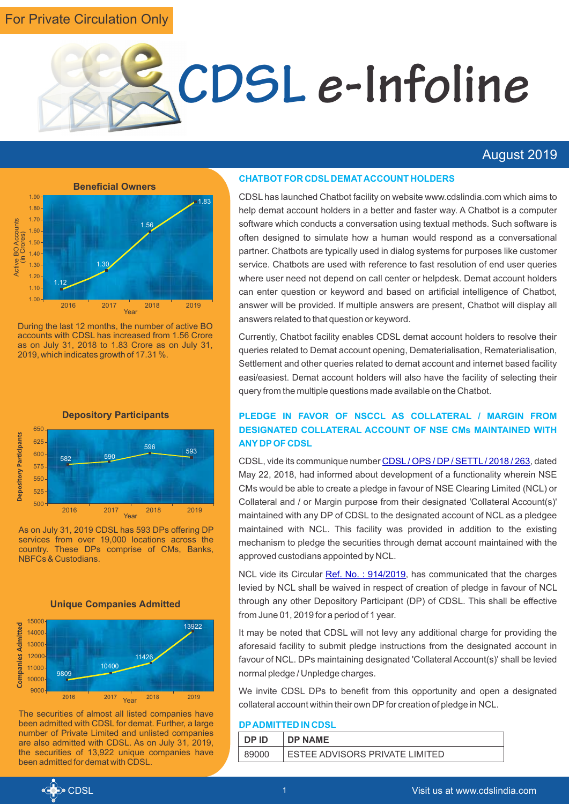# For Private Circulation Only



# August 2019



During the last 12 months, the number of active BO accounts with CDSL has increased from 1.56 Crore as on July 31, 2018 to 1.83 Crore as on July 31, 2019, which indicates growth of 17.31 %.



As on July 31, 2019 CDSL has 593 DPs offering DP services from over 19,000 locations across the country. These DPs comprise of CMs, Banks, NBFCs & Custodians.



The securities of almost all listed companies have been admitted with CDSL for demat. Further, a large number of Private Limited and unlisted companies are also admitted with CDSL. As on July 31, 2019, the securities of 13,922 unique companies have been admitted for demat with CDSL.

#### **CHATBOT FOR CDSL DEMAT ACCOUNT HOLDERS**

CDSL has launched Chatbot facility on website www.cdslindia.com which aims to help demat account holders in a better and faster way. A Chatbot is a computer software which conducts a conversation using textual methods. Such software is often designed to simulate how a human would respond as a conversational partner. Chatbots are typically used in dialog systems for purposes like customer service. Chatbots are used with reference to fast resolution of end user queries where user need not depend on call center or helpdesk. Demat account holders can enter question or keyword and based on artificial intelligence of Chatbot, answer will be provided. If multiple answers are present, Chatbot will display all answers related to that question or keyword.

Currently, Chatbot facility enables CDSL demat account holders to resolve their queries related to Demat account opening, Dematerialisation, Rematerialisation, Settlement and other queries related to demat account and internet based facility easi/easiest. Demat account holders will also have the facility of selecting their query from the multiple questions made available on the Chatbot.

# **PLEDGE IN FAVOR OF NSCCL AS COLLATERAL / MARGIN FROM DESIGNATED COLLATERAL ACCOUNT OF NSE CMs MAINTAINED WITH ANY DPOF CDSL**

CDSL,vide its communique number CDSL / OPS / DP / SETTL / 2018 / 263, dated May 22, 2018, had informed about development of a functionality wherein NSE CMs would be able to create a pledge in favour of NSE Clearing Limited (NCL) or Collateral and / or Margin purpose from their designated 'Collateral Account(s)' maintained with any DP of CDSL to the designated account of NCL as a pledgee maintained with NCL. This facility was provided in addition to the existing mechanism to pledge the securities through demat account maintained with the approved custodians appointed by NCL.

NCLvide its Circular **Ref. No.: 914/2019**, has communicated that the charges levied by NCL shall be waived in respect of creation of pledge in favour of NCL through any other Depository Participant (DP) of CDSL. This shall be effective from June 01, 2019 for a period of 1 year.

It may be noted that CDSL will not levy any additional charge for providing the aforesaid facility to submit pledge instructions from the designated account in favour of NCL. DPs maintaining designated 'Collateral Account(s)' shall be levied normal pledge / Unpledge charges.

We invite CDSL DPs to benefit from this opportunity and open a designated collateral account within their own DP for creation of pledge in NCL.

### **DPADMITTED IN CDSL**

| DP ID | <b>DP NAME</b>                 |
|-------|--------------------------------|
| 89000 | ESTEE ADVISORS PRIVATE LIMITED |